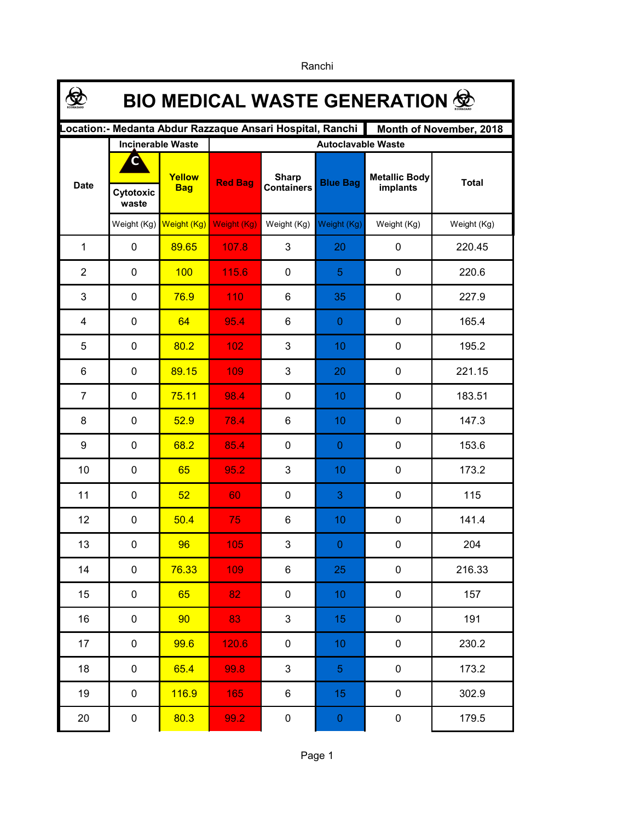|                                                                                      | <b>BIO MEDICAL WASTE GENERATION 金</b> |                      |                           |                                   |                 |                                  |              |  |  |  |  |
|--------------------------------------------------------------------------------------|---------------------------------------|----------------------|---------------------------|-----------------------------------|-----------------|----------------------------------|--------------|--|--|--|--|
| Location:- Medanta Abdur Razzaque Ansari Hospital, Ranchi<br>Month of November, 2018 |                                       |                      |                           |                                   |                 |                                  |              |  |  |  |  |
|                                                                                      | <b>Incinerable Waste</b>              |                      | <b>Autoclavable Waste</b> |                                   |                 |                                  |              |  |  |  |  |
| <b>Date</b>                                                                          | С                                     | Yellow<br><b>Bag</b> | <b>Red Bag</b>            | <b>Sharp</b><br><b>Containers</b> | <b>Blue Bag</b> | <b>Metallic Body</b><br>implants | <b>Total</b> |  |  |  |  |
|                                                                                      | Cytotoxic<br>waste                    |                      |                           |                                   |                 |                                  |              |  |  |  |  |
|                                                                                      | Weight (Kg)                           | Weight (Kg)          | Weight (Kg)               | Weight (Kg)                       | Weight (Kg)     | Weight (Kg)                      | Weight (Kg)  |  |  |  |  |
| $\mathbf{1}$                                                                         | 0                                     | 89.65                | 107.8                     | 3                                 | 20              | 0                                | 220.45       |  |  |  |  |
| $\overline{2}$                                                                       | $\mathbf 0$                           | 100                  | 115.6                     | $\mathbf 0$                       | 5               | 0                                | 220.6        |  |  |  |  |
| 3                                                                                    | 0                                     | 76.9                 | 110                       | 6                                 | 35              | 0                                | 227.9        |  |  |  |  |
| 4                                                                                    | 0                                     | 64                   | 95.4                      | 6                                 | $\pmb{0}$       | 0                                | 165.4        |  |  |  |  |
| 5                                                                                    | 0                                     | 80.2                 | 102                       | 3                                 | 10              | 0                                | 195.2        |  |  |  |  |
| 6                                                                                    | 0                                     | 89.15                | 109                       | $\mathfrak{S}$                    | 20              | $\pmb{0}$                        | 221.15       |  |  |  |  |
| $\overline{7}$                                                                       | 0                                     | 75.11                | 98.4                      | $\mathbf 0$                       | 10              | $\pmb{0}$                        | 183.51       |  |  |  |  |
| 8                                                                                    | 0                                     | 52.9                 | 78.4                      | 6                                 | 10              | $\pmb{0}$                        | 147.3        |  |  |  |  |
| 9                                                                                    | $\mathbf 0$                           | 68.2                 | 85.4                      | $\mathbf 0$                       | $\overline{0}$  | $\mathbf 0$                      | 153.6        |  |  |  |  |
| 10                                                                                   | 0                                     | 65                   | 95.2                      | 3                                 | 10              | $\pmb{0}$                        | 173.2        |  |  |  |  |
| 11                                                                                   | 0                                     | 52                   | 60                        | $\mathbf 0$                       | 3               | $\mathbf 0$                      | 115          |  |  |  |  |
| 12                                                                                   | 0                                     | 50.4                 | 75                        | 6                                 | 10              | $\pmb{0}$                        | 141.4        |  |  |  |  |
| 13                                                                                   | $\mathbf 0$                           | 96                   | 105                       | 3                                 | $\overline{0}$  | 0                                | 204          |  |  |  |  |
| 14                                                                                   | $\mathbf 0$                           | 76.33                | 109                       | 6                                 | 25              | $\pmb{0}$                        | 216.33       |  |  |  |  |
| 15                                                                                   | $\mathbf 0$                           | 65                   | 82                        | $\mathbf 0$                       | 10              | $\pmb{0}$                        | 157          |  |  |  |  |
| 16                                                                                   | $\mathbf 0$                           | 90                   | 83                        | 3                                 | 15              | $\pmb{0}$                        | 191          |  |  |  |  |
| 17                                                                                   | $\mathbf 0$                           | 99.6                 | 120.6                     | $\pmb{0}$                         | 10              | $\pmb{0}$                        | 230.2        |  |  |  |  |
| 18                                                                                   | $\mathbf 0$                           | 65.4                 | 99.8                      | 3                                 | $\overline{5}$  | $\pmb{0}$                        | 173.2        |  |  |  |  |
| 19                                                                                   | $\mathbf 0$                           | 116.9                | 165                       | 6                                 | 15              | $\pmb{0}$                        | 302.9        |  |  |  |  |
| 20                                                                                   | $\pmb{0}$                             | 80.3                 | 99.2                      | $\pmb{0}$                         | $\pmb{0}$       | $\pmb{0}$                        | 179.5        |  |  |  |  |

Ranchi